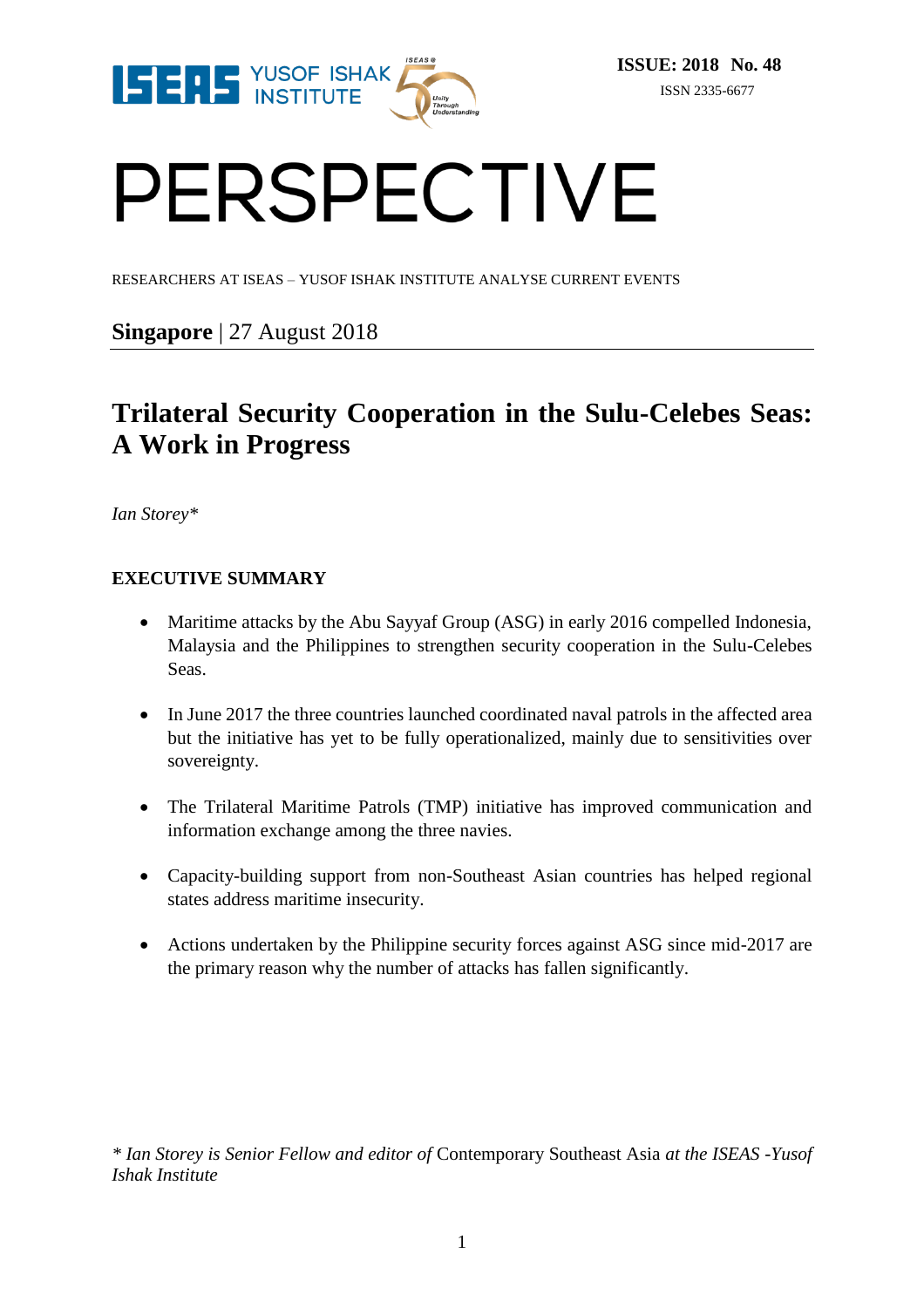

# PERSPECTIVE

RESEARCHERS AT ISEAS – YUSOF ISHAK INSTITUTE ANALYSE CURRENT EVENTS

### **Singapore** | 27 August 2018

## **Trilateral Security Cooperation in the Sulu-Celebes Seas: A Work in Progress**

*Ian Storey\**

#### **EXECUTIVE SUMMARY**

- Maritime attacks by the Abu Sayyaf Group (ASG) in early 2016 compelled Indonesia, Malaysia and the Philippines to strengthen security cooperation in the Sulu-Celebes Seas.
- In June 2017 the three countries launched coordinated naval patrols in the affected area but the initiative has yet to be fully operationalized, mainly due to sensitivities over sovereignty.
- The Trilateral Maritime Patrols (TMP) initiative has improved communication and information exchange among the three navies.
- Capacity-building support from non-Southeast Asian countries has helped regional states address maritime insecurity.
- Actions undertaken by the Philippine security forces against ASG since mid-2017 are the primary reason why the number of attacks has fallen significantly.

*\* Ian Storey is Senior Fellow and editor of* Contemporary Southeast Asia *at the ISEAS -Yusof Ishak Institute*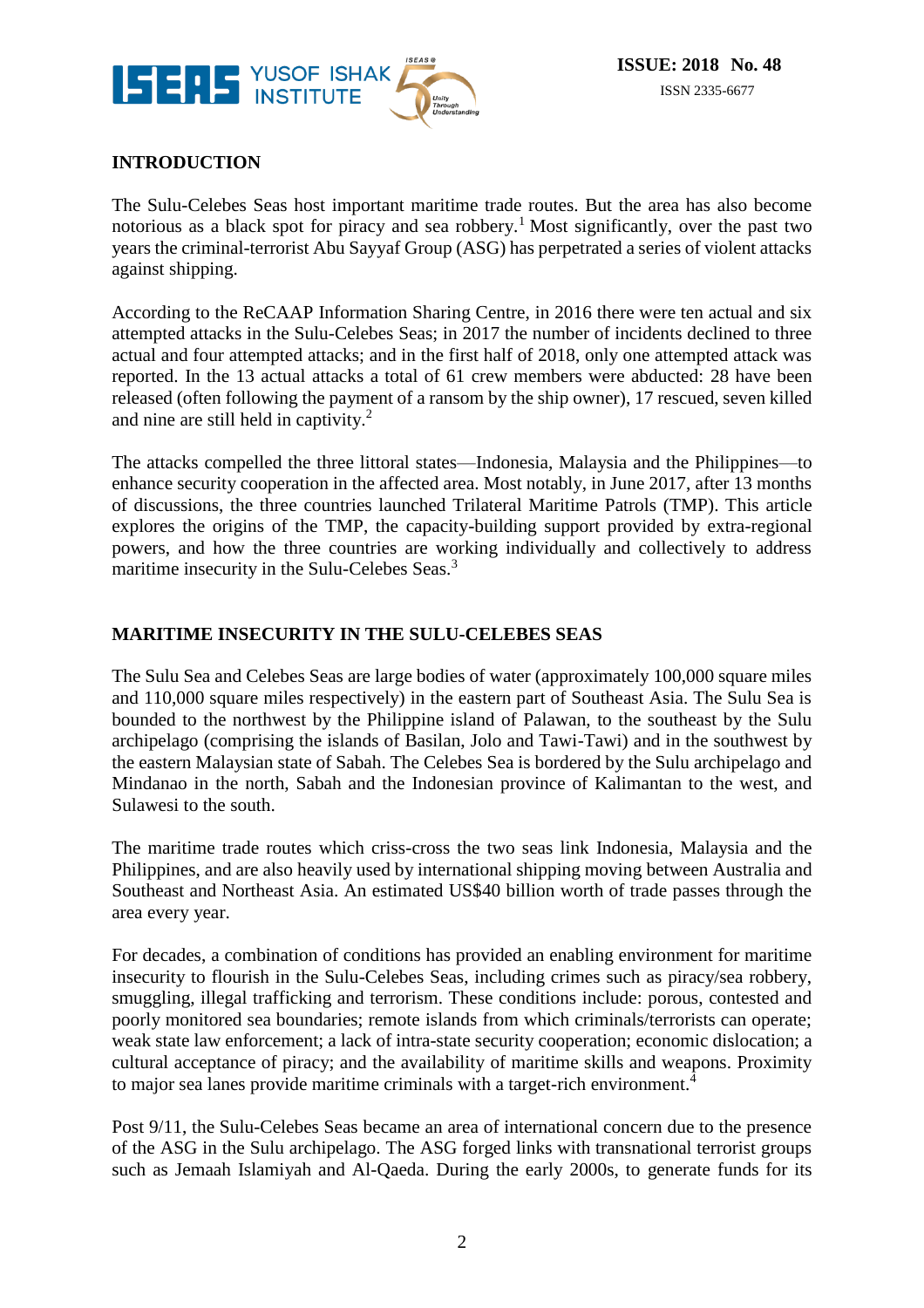

#### **INTRODUCTION**

The Sulu-Celebes Seas host important maritime trade routes. But the area has also become notorious as a black spot for piracy and sea robbery.<sup>1</sup> Most significantly, over the past two years the criminal-terrorist Abu Sayyaf Group (ASG) has perpetrated a series of violent attacks against shipping.

According to the ReCAAP Information Sharing Centre, in 2016 there were ten actual and six attempted attacks in the Sulu-Celebes Seas; in 2017 the number of incidents declined to three actual and four attempted attacks; and in the first half of 2018, only one attempted attack was reported. In the 13 actual attacks a total of 61 crew members were abducted: 28 have been released (often following the payment of a ransom by the ship owner), 17 rescued, seven killed and nine are still held in captivity.<sup>2</sup>

The attacks compelled the three littoral states—Indonesia, Malaysia and the Philippines—to enhance security cooperation in the affected area. Most notably, in June 2017, after 13 months of discussions, the three countries launched Trilateral Maritime Patrols (TMP). This article explores the origins of the TMP, the capacity-building support provided by extra-regional powers, and how the three countries are working individually and collectively to address maritime insecurity in the Sulu-Celebes Seas.<sup>3</sup>

#### **MARITIME INSECURITY IN THE SULU-CELEBES SEAS**

The Sulu Sea and Celebes Seas are large bodies of water (approximately 100,000 square miles and 110,000 square miles respectively) in the eastern part of Southeast Asia. The Sulu Sea is bounded to the northwest by the Philippine island of Palawan, to the southeast by the Sulu archipelago (comprising the islands of Basilan, Jolo and Tawi-Tawi) and in the southwest by the eastern Malaysian state of Sabah. The Celebes Sea is bordered by the Sulu archipelago and Mindanao in the north, Sabah and the Indonesian province of Kalimantan to the west, and Sulawesi to the south.

The maritime trade routes which criss-cross the two seas link Indonesia, Malaysia and the Philippines, and are also heavily used by international shipping moving between Australia and Southeast and Northeast Asia. An estimated US\$40 billion worth of trade passes through the area every year.

For decades, a combination of conditions has provided an enabling environment for maritime insecurity to flourish in the Sulu-Celebes Seas, including crimes such as piracy/sea robbery, smuggling, illegal trafficking and terrorism. These conditions include: porous, contested and poorly monitored sea boundaries; remote islands from which criminals/terrorists can operate; weak state law enforcement; a lack of intra-state security cooperation; economic dislocation; a cultural acceptance of piracy; and the availability of maritime skills and weapons. Proximity to major sea lanes provide maritime criminals with a target-rich environment.<sup>4</sup>

Post 9/11, the Sulu-Celebes Seas became an area of international concern due to the presence of the ASG in the Sulu archipelago. The ASG forged links with transnational terrorist groups such as Jemaah Islamiyah and Al-Qaeda. During the early 2000s, to generate funds for its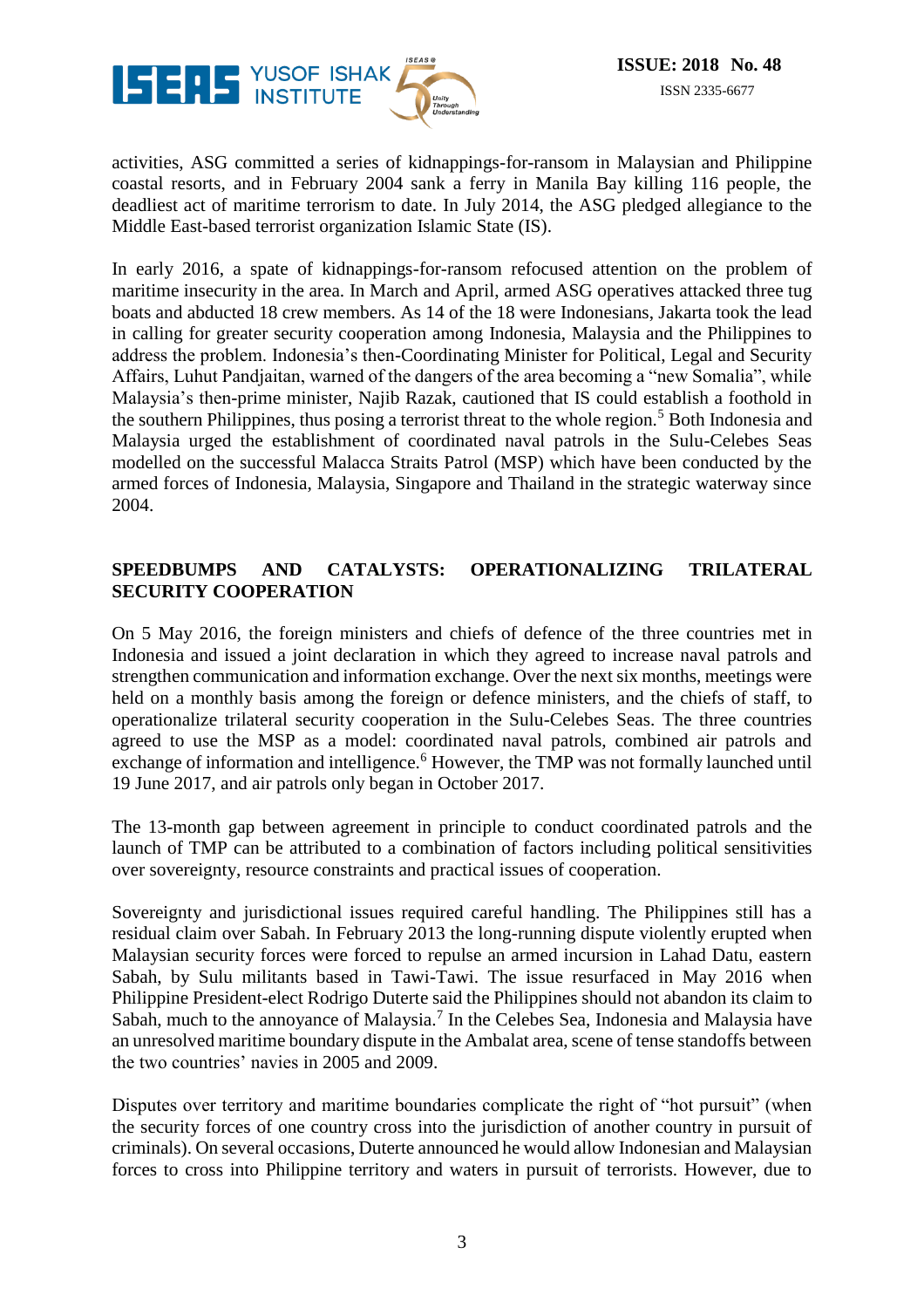

activities, ASG committed a series of kidnappings-for-ransom in Malaysian and Philippine coastal resorts, and in February 2004 sank a ferry in Manila Bay killing 116 people, the deadliest act of maritime terrorism to date. In July 2014, the ASG pledged allegiance to the Middle East-based terrorist organization Islamic State (IS).

In early 2016, a spate of kidnappings-for-ransom refocused attention on the problem of maritime insecurity in the area. In March and April, armed ASG operatives attacked three tug boats and abducted 18 crew members. As 14 of the 18 were Indonesians, Jakarta took the lead in calling for greater security cooperation among Indonesia, Malaysia and the Philippines to address the problem. Indonesia's then-Coordinating Minister for Political, Legal and Security Affairs, Luhut Pandjaitan, warned of the dangers of the area becoming a "new Somalia", while Malaysia's then-prime minister, Najib Razak, cautioned that IS could establish a foothold in the southern Philippines, thus posing a terrorist threat to the whole region.<sup>5</sup> Both Indonesia and Malaysia urged the establishment of coordinated naval patrols in the Sulu-Celebes Seas modelled on the successful Malacca Straits Patrol (MSP) which have been conducted by the armed forces of Indonesia, Malaysia, Singapore and Thailand in the strategic waterway since 2004.

#### **SPEEDBUMPS AND CATALYSTS: OPERATIONALIZING TRILATERAL SECURITY COOPERATION**

On 5 May 2016, the foreign ministers and chiefs of defence of the three countries met in Indonesia and issued a joint declaration in which they agreed to increase naval patrols and strengthen communication and information exchange. Over the next six months, meetings were held on a monthly basis among the foreign or defence ministers, and the chiefs of staff, to operationalize trilateral security cooperation in the Sulu-Celebes Seas. The three countries agreed to use the MSP as a model: coordinated naval patrols, combined air patrols and exchange of information and intelligence.<sup>6</sup> However, the TMP was not formally launched until 19 June 2017, and air patrols only began in October 2017.

The 13-month gap between agreement in principle to conduct coordinated patrols and the launch of TMP can be attributed to a combination of factors including political sensitivities over sovereignty, resource constraints and practical issues of cooperation.

Sovereignty and jurisdictional issues required careful handling. The Philippines still has a residual claim over Sabah. In February 2013 the long-running dispute violently erupted when Malaysian security forces were forced to repulse an armed incursion in Lahad Datu, eastern Sabah, by Sulu militants based in Tawi-Tawi. The issue resurfaced in May 2016 when Philippine President-elect Rodrigo Duterte said the Philippines should not abandon its claim to Sabah, much to the annoyance of Malaysia.<sup>7</sup> In the Celebes Sea, Indonesia and Malaysia have an unresolved maritime boundary dispute in the Ambalat area, scene of tense standoffs between the two countries' navies in 2005 and 2009.

Disputes over territory and maritime boundaries complicate the right of "hot pursuit" (when the security forces of one country cross into the jurisdiction of another country in pursuit of criminals). On several occasions, Duterte announced he would allow Indonesian and Malaysian forces to cross into Philippine territory and waters in pursuit of terrorists. However, due to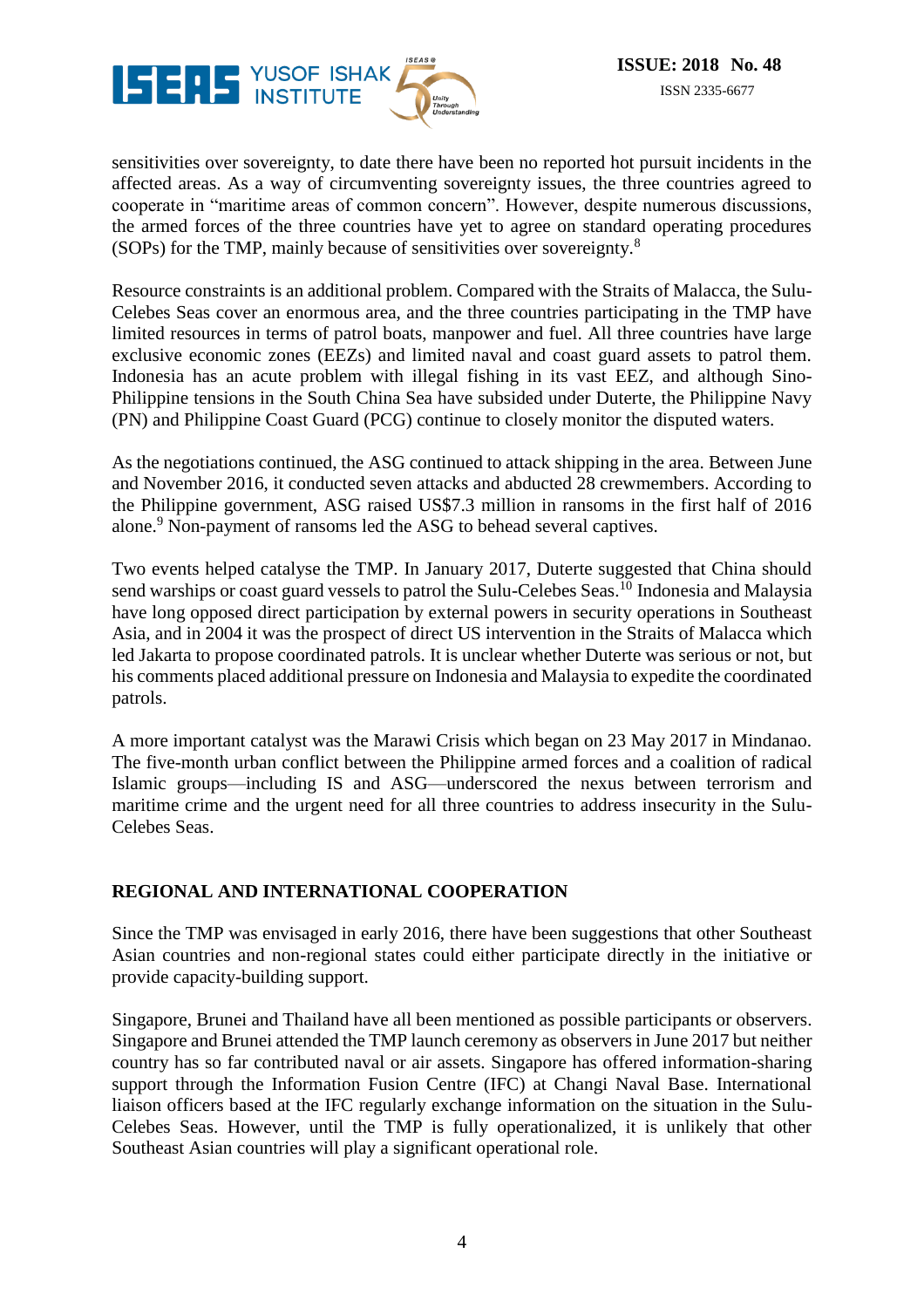

sensitivities over sovereignty, to date there have been no reported hot pursuit incidents in the affected areas. As a way of circumventing sovereignty issues, the three countries agreed to cooperate in "maritime areas of common concern". However, despite numerous discussions, the armed forces of the three countries have yet to agree on standard operating procedures (SOPs) for the TMP, mainly because of sensitivities over sovereignty.<sup>8</sup>

Resource constraints is an additional problem. Compared with the Straits of Malacca, the Sulu-Celebes Seas cover an enormous area, and the three countries participating in the TMP have limited resources in terms of patrol boats, manpower and fuel. All three countries have large exclusive economic zones (EEZs) and limited naval and coast guard assets to patrol them. Indonesia has an acute problem with illegal fishing in its vast EEZ, and although Sino-Philippine tensions in the South China Sea have subsided under Duterte, the Philippine Navy (PN) and Philippine Coast Guard (PCG) continue to closely monitor the disputed waters.

As the negotiations continued, the ASG continued to attack shipping in the area. Between June and November 2016, it conducted seven attacks and abducted 28 crewmembers. According to the Philippine government, ASG raised US\$7.3 million in ransoms in the first half of 2016 alone.<sup>9</sup> Non-payment of ransoms led the ASG to behead several captives.

Two events helped catalyse the TMP. In January 2017, Duterte suggested that China should send warships or coast guard vessels to patrol the Sulu-Celebes Seas.<sup>10</sup> Indonesia and Malaysia have long opposed direct participation by external powers in security operations in Southeast Asia, and in 2004 it was the prospect of direct US intervention in the Straits of Malacca which led Jakarta to propose coordinated patrols. It is unclear whether Duterte was serious or not, but his comments placed additional pressure on Indonesia and Malaysia to expedite the coordinated patrols.

A more important catalyst was the Marawi Crisis which began on 23 May 2017 in Mindanao. The five-month urban conflict between the Philippine armed forces and a coalition of radical Islamic groups—including IS and ASG—underscored the nexus between terrorism and maritime crime and the urgent need for all three countries to address insecurity in the Sulu-Celebes Seas.

#### **REGIONAL AND INTERNATIONAL COOPERATION**

Since the TMP was envisaged in early 2016, there have been suggestions that other Southeast Asian countries and non-regional states could either participate directly in the initiative or provide capacity-building support.

Singapore, Brunei and Thailand have all been mentioned as possible participants or observers. Singapore and Brunei attended the TMP launch ceremony as observers in June 2017 but neither country has so far contributed naval or air assets. Singapore has offered information-sharing support through the Information Fusion Centre (IFC) at Changi Naval Base. International liaison officers based at the IFC regularly exchange information on the situation in the Sulu-Celebes Seas. However, until the TMP is fully operationalized, it is unlikely that other Southeast Asian countries will play a significant operational role.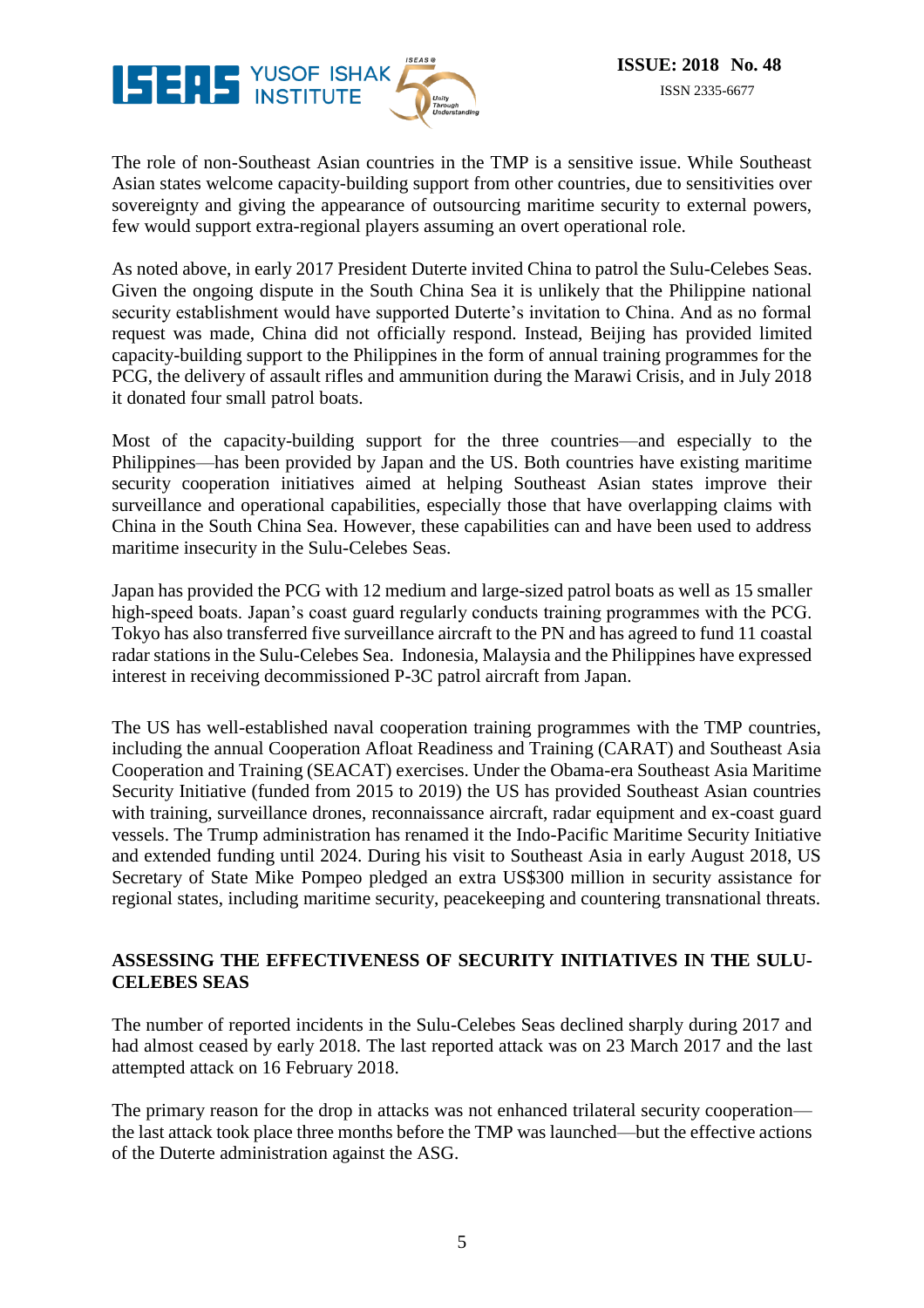

The role of non-Southeast Asian countries in the TMP is a sensitive issue. While Southeast Asian states welcome capacity-building support from other countries, due to sensitivities over sovereignty and giving the appearance of outsourcing maritime security to external powers, few would support extra-regional players assuming an overt operational role.

As noted above, in early 2017 President Duterte invited China to patrol the Sulu-Celebes Seas. Given the ongoing dispute in the South China Sea it is unlikely that the Philippine national security establishment would have supported Duterte's invitation to China. And as no formal request was made, China did not officially respond. Instead, Beijing has provided limited capacity-building support to the Philippines in the form of annual training programmes for the PCG, the delivery of assault rifles and ammunition during the Marawi Crisis, and in July 2018 it donated four small patrol boats.

Most of the capacity-building support for the three countries—and especially to the Philippines—has been provided by Japan and the US. Both countries have existing maritime security cooperation initiatives aimed at helping Southeast Asian states improve their surveillance and operational capabilities, especially those that have overlapping claims with China in the South China Sea. However, these capabilities can and have been used to address maritime insecurity in the Sulu-Celebes Seas.

Japan has provided the PCG with 12 medium and large-sized patrol boats as well as 15 smaller high-speed boats. Japan's coast guard regularly conducts training programmes with the PCG. Tokyo has also transferred five surveillance aircraft to the PN and has agreed to fund 11 coastal radar stations in the Sulu-Celebes Sea. Indonesia, Malaysia and the Philippines have expressed interest in receiving decommissioned P-3C patrol aircraft from Japan.

The US has well-established naval cooperation training programmes with the TMP countries, including the annual Cooperation Afloat Readiness and Training (CARAT) and Southeast Asia Cooperation and Training (SEACAT) exercises. Under the Obama-era Southeast Asia Maritime Security Initiative (funded from 2015 to 2019) the US has provided Southeast Asian countries with training, surveillance drones, reconnaissance aircraft, radar equipment and ex-coast guard vessels. The Trump administration has renamed it the Indo-Pacific Maritime Security Initiative and extended funding until 2024. During his visit to Southeast Asia in early August 2018, US Secretary of State Mike Pompeo pledged an extra US\$300 million in security assistance for regional states, including maritime security, peacekeeping and countering transnational threats.

#### **ASSESSING THE EFFECTIVENESS OF SECURITY INITIATIVES IN THE SULU-CELEBES SEAS**

The number of reported incidents in the Sulu-Celebes Seas declined sharply during 2017 and had almost ceased by early 2018. The last reported attack was on 23 March 2017 and the last attempted attack on 16 February 2018.

The primary reason for the drop in attacks was not enhanced trilateral security cooperation the last attack took place three months before the TMP was launched—but the effective actions of the Duterte administration against the ASG.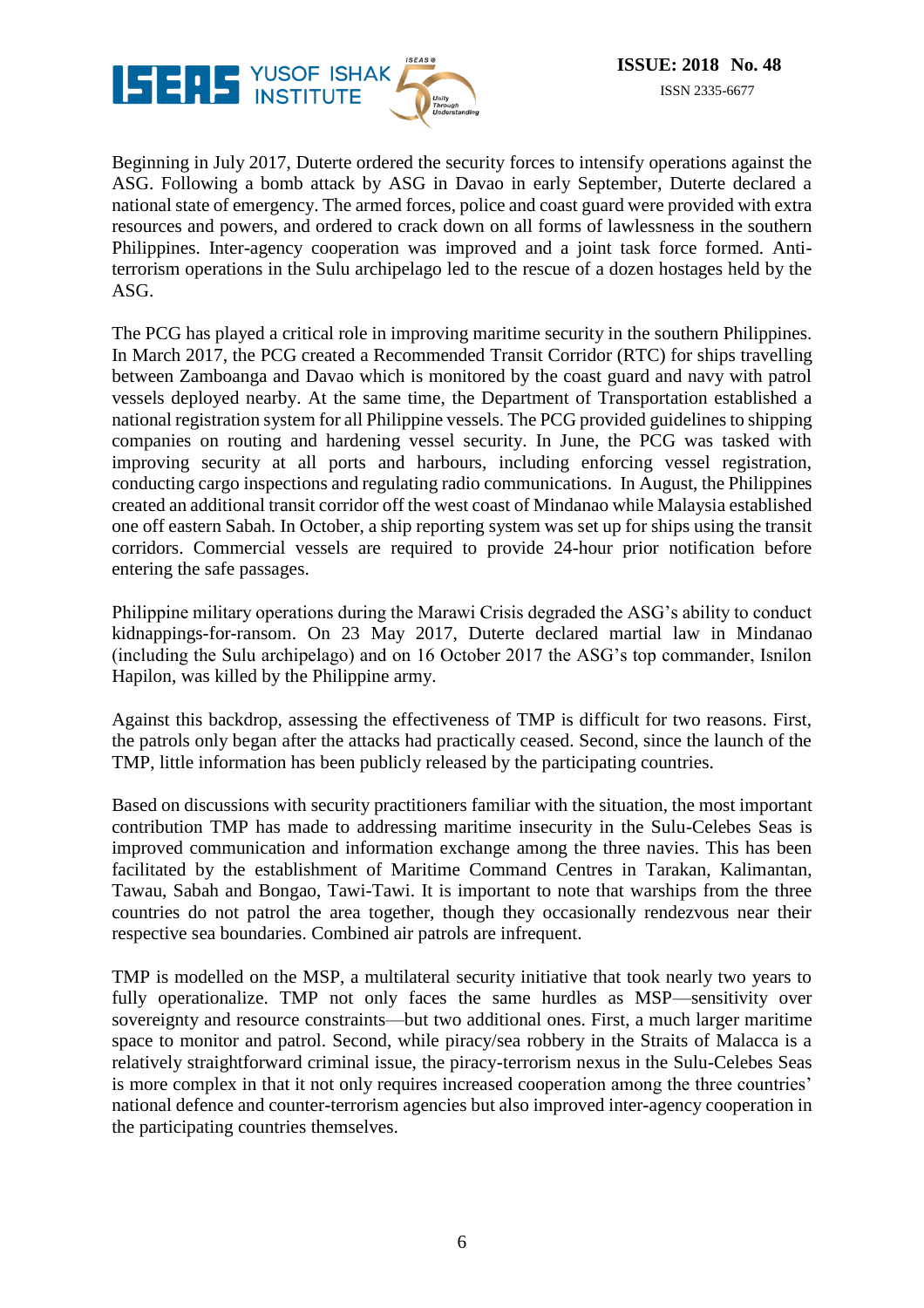

Beginning in July 2017, Duterte ordered the security forces to intensify operations against the ASG. Following a bomb attack by ASG in Davao in early September, Duterte declared a national state of emergency. The armed forces, police and coast guard were provided with extra resources and powers, and ordered to crack down on all forms of lawlessness in the southern Philippines. Inter-agency cooperation was improved and a joint task force formed. Antiterrorism operations in the Sulu archipelago led to the rescue of a dozen hostages held by the ASG.

The PCG has played a critical role in improving maritime security in the southern Philippines. In March 2017, the PCG created a Recommended Transit Corridor (RTC) for ships travelling between Zamboanga and Davao which is monitored by the coast guard and navy with patrol vessels deployed nearby. At the same time, the Department of Transportation established a national registration system for all Philippine vessels. The PCG provided guidelines to shipping companies on routing and hardening vessel security. In June, the PCG was tasked with improving security at all ports and harbours, including enforcing vessel registration, conducting cargo inspections and regulating radio communications. In August, the Philippines created an additional transit corridor off the west coast of Mindanao while Malaysia established one off eastern Sabah. In October, a ship reporting system was set up for ships using the transit corridors. Commercial vessels are required to provide 24-hour prior notification before entering the safe passages.

Philippine military operations during the Marawi Crisis degraded the ASG's ability to conduct kidnappings-for-ransom. On 23 May 2017, Duterte declared martial law in Mindanao (including the Sulu archipelago) and on 16 October 2017 the ASG's top commander, Isnilon Hapilon, was killed by the Philippine army.

Against this backdrop, assessing the effectiveness of TMP is difficult for two reasons. First, the patrols only began after the attacks had practically ceased. Second, since the launch of the TMP, little information has been publicly released by the participating countries.

Based on discussions with security practitioners familiar with the situation, the most important contribution TMP has made to addressing maritime insecurity in the Sulu-Celebes Seas is improved communication and information exchange among the three navies. This has been facilitated by the establishment of Maritime Command Centres in Tarakan, Kalimantan, Tawau, Sabah and Bongao, Tawi-Tawi. It is important to note that warships from the three countries do not patrol the area together, though they occasionally rendezvous near their respective sea boundaries. Combined air patrols are infrequent.

TMP is modelled on the MSP, a multilateral security initiative that took nearly two years to fully operationalize. TMP not only faces the same hurdles as MSP—sensitivity over sovereignty and resource constraints—but two additional ones. First, a much larger maritime space to monitor and patrol. Second, while piracy/sea robbery in the Straits of Malacca is a relatively straightforward criminal issue, the piracy-terrorism nexus in the Sulu-Celebes Seas is more complex in that it not only requires increased cooperation among the three countries' national defence and counter-terrorism agencies but also improved inter-agency cooperation in the participating countries themselves.